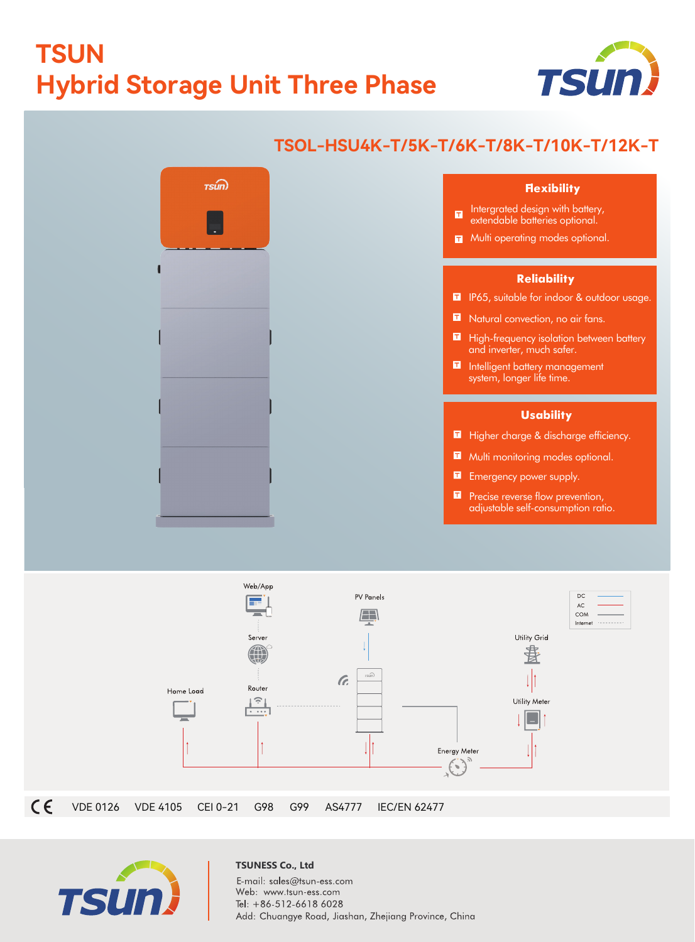## **TSUN Hybrid Storage Unit Three Phase**



## **TSOL-HSU4K-T/5K-T/6K-T/8K-T/10K-T/12K-T**  $rsm$ **Flexibility** Intergrated design with battery,  $\blacksquare$ extendable batteries optional. **T** Multi operating modes optional. **Reliability II** IP65, suitable for indoor & outdoor usage. Natural convection, no air fans. **High-frequency isolation between battery** and inverter, much safer. Intelligent battery management system, longer life time. **Usability** Higher charge & discharge efficiency. Multi monitoring modes optional. **Emergency power supply. P** Precise reverse flow prevention, adjustable self-consumption ratio.





## **TSUNESS Co., Ltd** E-mail: sales@tsun-ess.com Web: www.tsun-ess.com Tel: +86-512-6618 6028 Add: Chuangye Road, Jiashan, Zhejiang Province, China